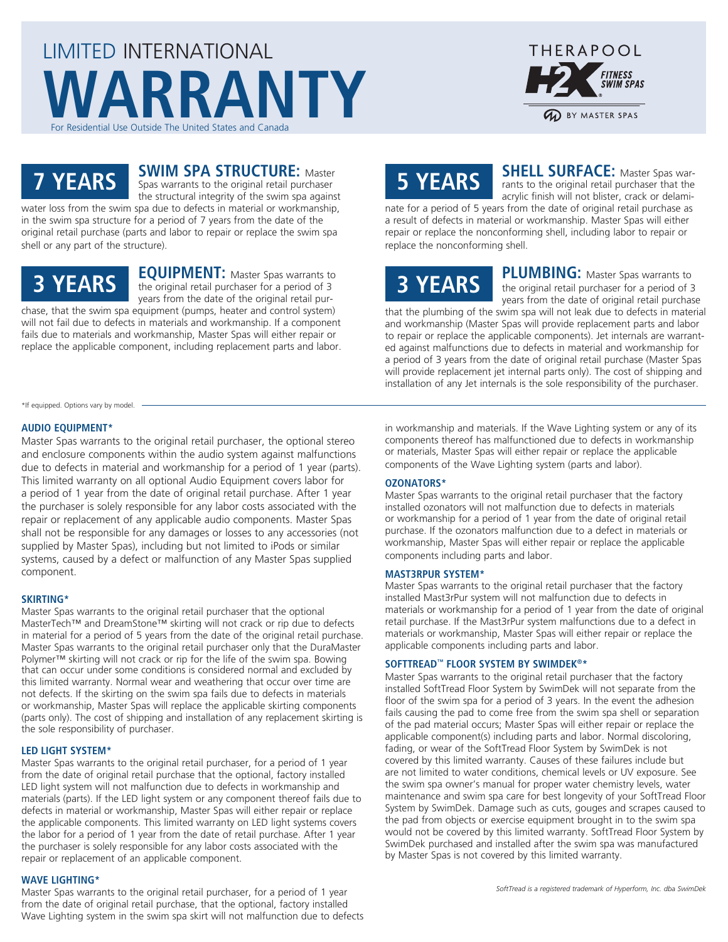## LIMITED INTERNATIONAL **WARRANTY** For Residential Use Outside The United States and Canada



### **7 YEARS**

**SWIM SPA STRUCTURE: Master** Spas warrants to the original retail purchaser

the structural integrity of the swim spa against water loss from the swim spa due to defects in material or workmanship, in the swim spa structure for a period of 7 years from the date of the original retail purchase (parts and labor to repair or replace the swim spa shell or any part of the structure).

## **3 YEARS**

**EQUIPMENT:** Master Spas warrants to the original retail purchaser for a period of 3 years from the date of the original retail purchase, that the swim spa equipment (pumps, heater and control system)

will not fail due to defects in materials and workmanship. If a component fails due to materials and workmanship, Master Spas will either repair or replace the applicable component, including replacement parts and labor.

# **5 YEARS**

**SHELL SURFACE:** Master Spas warrants to the original retail purchaser that the acrylic finish will not blister, crack or delami-

nate for a period of 5 years from the date of original retail purchase as a result of defects in material or workmanship. Master Spas will either repair or replace the nonconforming shell, including labor to repair or replace the nonconforming shell.

# **3 YEARS**

**PLUMBING:** Master Spas warrants to the original retail purchaser for a period of 3 years from the date of original retail purchase

that the plumbing of the swim spa will not leak due to defects in material and workmanship (Master Spas will provide replacement parts and labor to repair or replace the applicable components). Jet internals are warranted against malfunctions due to defects in material and workmanship for a period of 3 years from the date of original retail purchase (Master Spas will provide replacement jet internal parts only). The cost of shipping and installation of any Jet internals is the sole responsibility of the purchaser.

\*If equipped. Options vary by model.

#### **AUDIO EQUIPMENT\***

Master Spas warrants to the original retail purchaser, the optional stereo and enclosure components within the audio system against malfunctions due to defects in material and workmanship for a period of 1 year (parts). This limited warranty on all optional Audio Equipment covers labor for a period of 1 year from the date of original retail purchase. After 1 year the purchaser is solely responsible for any labor costs associated with the repair or replacement of any applicable audio components. Master Spas shall not be responsible for any damages or losses to any accessories (not supplied by Master Spas), including but not limited to iPods or similar systems, caused by a defect or malfunction of any Master Spas supplied component.

#### **SKIRTING\***

Master Spas warrants to the original retail purchaser that the optional MasterTech™ and DreamStone™ skirting will not crack or rip due to defects in material for a period of 5 years from the date of the original retail purchase. Master Spas warrants to the original retail purchaser only that the DuraMaster Polymer™ skirting will not crack or rip for the life of the swim spa. Bowing that can occur under some conditions is considered normal and excluded by this limited warranty. Normal wear and weathering that occur over time are not defects. If the skirting on the swim spa fails due to defects in materials or workmanship, Master Spas will replace the applicable skirting components (parts only). The cost of shipping and installation of any replacement skirting is the sole responsibility of purchaser.

#### **LED LIGHT SYSTEM\***

Master Spas warrants to the original retail purchaser, for a period of 1 year from the date of original retail purchase that the optional, factory installed LED light system will not malfunction due to defects in workmanship and materials (parts). If the LED light system or any component thereof fails due to defects in material or workmanship, Master Spas will either repair or replace the applicable components. This limited warranty on LED light systems covers the labor for a period of 1 year from the date of retail purchase. After 1 year the purchaser is solely responsible for any labor costs associated with the repair or replacement of an applicable component.

#### **WAVE LIGHTING\***

Master Spas warrants to the original retail purchaser, for a period of 1 year from the date of original retail purchase, that the optional, factory installed Wave Lighting system in the swim spa skirt will not malfunction due to defects in workmanship and materials. If the Wave Lighting system or any of its components thereof has malfunctioned due to defects in workmanship or materials, Master Spas will either repair or replace the applicable components of the Wave Lighting system (parts and labor).

#### **OZONATORS\***

Master Spas warrants to the original retail purchaser that the factory installed ozonators will not malfunction due to defects in materials or workmanship for a period of 1 year from the date of original retail purchase. If the ozonators malfunction due to a defect in materials or workmanship, Master Spas will either repair or replace the applicable components including parts and labor.

#### **MAST3RPUR SYSTEM\***

Master Spas warrants to the original retail purchaser that the factory installed Mast3rPur system will not malfunction due to defects in materials or workmanship for a period of 1 year from the date of original retail purchase. If the Mast3rPur system malfunctions due to a defect in materials or workmanship, Master Spas will either repair or replace the applicable components including parts and labor.

#### **SOFTTREAD™ FLOOR SYSTEM BY SWIMDEK®\***

Master Spas warrants to the original retail purchaser that the factory installed SoftTread Floor System by SwimDek will not separate from the floor of the swim spa for a period of 3 years. In the event the adhesion fails causing the pad to come free from the swim spa shell or separation of the pad material occurs; Master Spas will either repair or replace the applicable component(s) including parts and labor. Normal discoloring, fading, or wear of the SoftTread Floor System by SwimDek is not covered by this limited warranty. Causes of these failures include but are not limited to water conditions, chemical levels or UV exposure. See the swim spa owner's manual for proper water chemistry levels, water maintenance and swim spa care for best longevity of your SoftTread Floor System by SwimDek. Damage such as cuts, gouges and scrapes caused to the pad from objects or exercise equipment brought in to the swim spa would not be covered by this limited warranty. SoftTread Floor System by SwimDek purchased and installed after the swim spa was manufactured by Master Spas is not covered by this limited warranty.